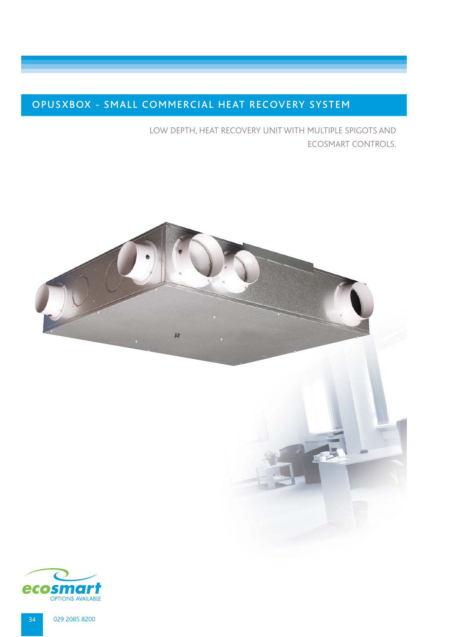# OPUSXBOX - SMALL COMMERCIAL HEAT RECOVERY SYSTEM

LOW DEPTH, HEAT RECOVERY UNIT WITH MULTIPLE SPIGOTS AND ECOSMART CONTROLS.



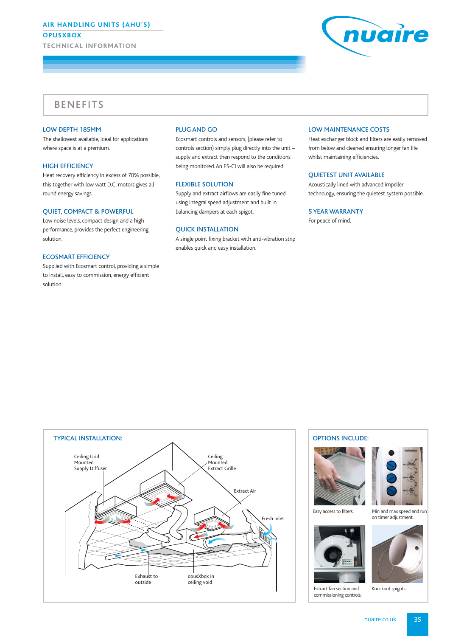## **AIR HANDLING UNITS (AHU'S)**

**OPUSXBOX**

**TECHNICAL INFORMATION**



## **BENEFITS**

## LOW DEPTH 185MM

The shallowest available, ideal for applications where space is at a premium.

## HIGH EFFICIENCY

Heat recovery efficiency in excess of 70% possible, this together with low watt D.C. motors gives all round energy savings.

## QUIET, COMPACT & POWERFUL

Low noise levels, compact design and a high performance, provides the perfect engineering solution.

#### ECOSMART EFFICIENCY

Supplied with Ecosmart control, providing a simple to install, easy to commission, energy efficient solution.

## PLUG AND GO

Ecosmart controls and sensors, (please refer to controls section) simply plug directly into the unit – supply and extract then respond to the conditions being monitored. An ES-CI will also be required.

#### FLEXIBLE SOLUTION

Supply and extract airflows are easily fine tuned using integral speed adjustment and built in balancing dampers at each spigot.

## QUICK INSTALLATION

A single point fixing bracket with anti-vibration strip enables quick and easy installation.

### LOW MAINTENANCE COSTS

Heat exchanger block and filters are easily removed from below and cleaned ensuring longer fan life whilst maintaining efficiencies.

## QUIETEST UNIT AVAILABLE

Acoustically lined with advanced impeller technology, ensuring the quietest system possible.

### 5 YEAR WARRANTY

For peace of mind.



## OPTIONS INCLUDE:





Easy access to filters. Min and max speed and run

on timer adjustment.



Extract fan section and Knockout spigots. commissioning controls.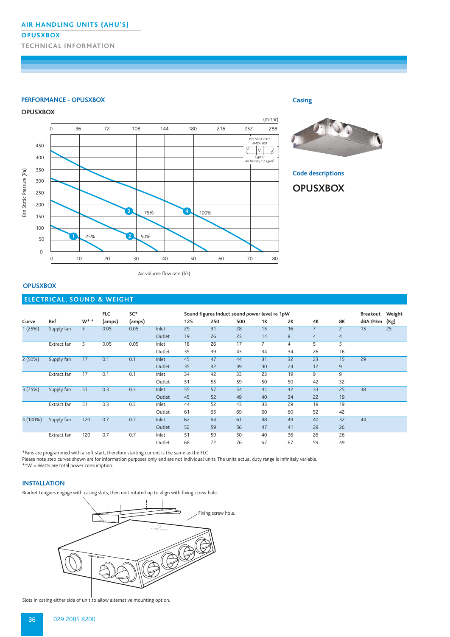## **AIR HANDLING UNITS (AHU'S)**

### **OPUSXBOX**

**TECHNICAL INFORMATION**

#### **PERFORMANCE - OPUSXBOX**

## **OPUSXBOX**





**Code descriptions**

**Casing**

## **OPUSXBOX**

Air volume flow rate (l/s)

## **OPUSXBOX**

## **ELECTRICAL, SOUND & WEIGHT**

|          |             |                | <b>FLC</b> | SC*    |        | Sound figures Induct sound power level re 1pW |     |     |                |                |                |                | Breakout | Weight |
|----------|-------------|----------------|------------|--------|--------|-----------------------------------------------|-----|-----|----------------|----------------|----------------|----------------|----------|--------|
| Curve    | Ref         | $W^*$ *        | (amps)     | (amps) |        | 125                                           | 250 | 500 | 1K             | 2K             | 4K             | 8K             | dBA @3m  | (Kg)   |
| 1(25%)   | Supply fan  | 5 <sup>1</sup> | 0.05       | 0.05   | Inlet  | 29                                            | 31  | 28  | 15             | 16             | $\overline{7}$ | $\overline{2}$ | 15       | 25     |
|          |             |                |            |        | Outlet | 19                                            | 26  | 23  | 14             | 8              | $\overline{4}$ | $\overline{4}$ |          |        |
|          | Extract fan | 5              | 0.05       | 0.05   | Inlet  | 18                                            | 26  | 17  | $\overline{7}$ | $\overline{4}$ | 5              | 5              |          |        |
|          |             |                |            |        | Outlet | 35                                            | 39  | 43  | 34             | 34             | 26             | 16             |          |        |
| 2(50%)   | Supply fan  | 17             | 0.1        | 0.1    | Inlet  | 45                                            | 47  | 44  | 31             | 32             | 23             | 15             | 29       |        |
|          |             |                |            |        | Outlet | 35                                            | 42  | 39  | 30             | 24             | 12             | 9              |          |        |
|          | Extract fan | 17             | 0.1        | 0.1    | Inlet  | 34                                            | 42  | 33  | 23             | 19             | 9              | 9              |          |        |
|          |             |                |            |        | Outlet | 51                                            | 55  | 59  | 50             | 50             | 42             | 32             |          |        |
| 3(75%)   | Supply fan  | 51             | 0.3        | 0.3    | Inlet  | 55                                            | 57  | 54  | 41             | 42             | 33             | 25             | 38       |        |
|          |             |                |            |        | Outlet | 45                                            | 52  | 49  | 40             | 34             | 22             | 19             |          |        |
|          | Extract fan | 51             | 0.3        | 0.3    | Inlet  | 44                                            | 52  | 43  | 33             | 29             | 19             | 19             |          |        |
|          |             |                |            |        | Outlet | 61                                            | 65  | 69  | 60             | 60             | 52             | 42             |          |        |
| 4 (100%) | Supply fan  | 120            | 0.7        | 0.7    | Inlet  | 62                                            | 64  | 61  | 48             | 49             | 40             | 32             | 44       |        |
|          |             |                |            |        | Outlet | 52                                            | 59  | 56  | 47             | 41             | 29             | 26             |          |        |
|          | Extract fan | 120            | 0.7        | 0.7    | Inlet  | 51                                            | 59  | 50  | 40             | 36             | 26             | 26             |          |        |
|          |             |                |            |        | Outlet | 68                                            | 72  | 76  | 67             | 67             | 59             | 49             |          |        |

\*Fans are programmed with a soft start, therefore starting current is the same as the FLC.

Please note step curves shown are for information purposes only and are not individual units. The units actual duty range is infinitely variable.

\*\*W = Watts are total power consumption.

## **INSTALLATION**

Bracket tongues engage with casing slots, then unit rotated up to align with fixing screw hole.



Slots in casing either side of unit to allow alternative mounting option.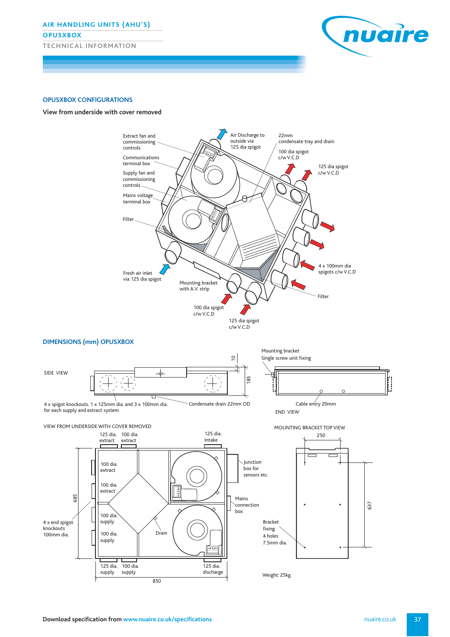**AIR HANDLING UNITS (AHU'S) OPUSXBOX TECHNICAL INFORMATION**



### **OPUSXBOX CONFIGURATIONS**





Weight: 25kg

850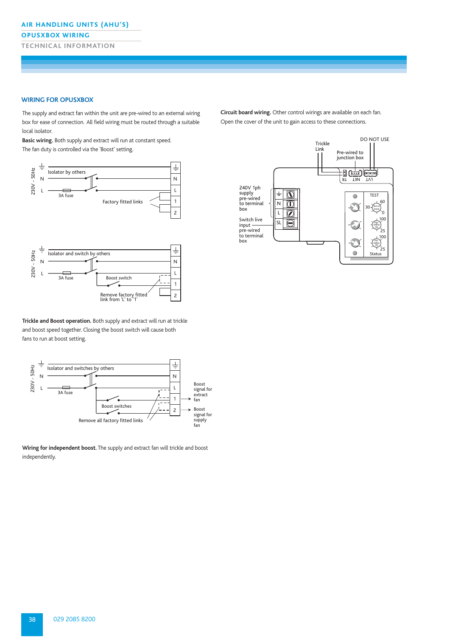### **OPUSXBOX WIRING**

**TECHNICAL INFORMATION**

#### **WIRING FOR OPUSXBOX**

The supply and extract fan within the unit are pre-wired to an external wiring box for ease of connection. All field wiring must be routed through a suitable local isolator.

**Basic wiring.** Both supply and extract will run at constant speed. The fan duty is controlled via the 'Boost' setting.



**Trickle and Boost operation.** Both supply and extract will run at trickle and boost speed together. Closing the boost switch will cause both fans to run at boost setting.



**Wiring for independent boost.** The supply and extract fan will trickle and boost independently.

**Circuit board wiring.** Other control wirings are available on each fan. Open the cover of the unit to gain access to these connections.